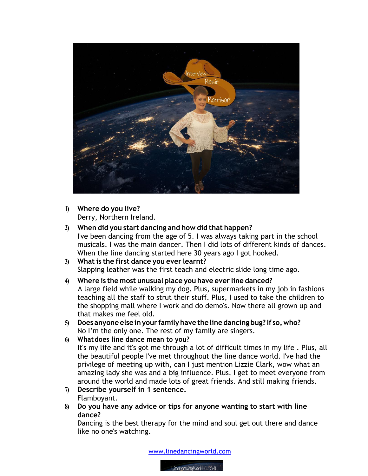

**1) Where do you live?** Derry, Northern Ireland.

## **2) When did you start dancing and how did that happen?**

I've been dancing from the age of 5. I was always taking part in the school musicals. I was the main dancer. Then I did lots of different kinds of dances. When the line dancing started here 30 years ago I got hooked.

**3) What is the first dance you ever learnt?** Slapping leather was the first teach and electric slide long time ago.

## **4) Where is the most unusual place you have ever line danced?** A large field while walking my dog. Plus, supermarkets in my job in fashions teaching all the staff to strut their stuff. Plus, I used to take the children to the shopping mall where I work and do demo's. Now there all grown up and that makes me feel old.

- **5) Does anyone else inyour familyhave the line dancing bug? If so,who?** No I'm the only one. The rest of my family are singers.
- **6) Whatdoes line dance mean to you?** It's my life and it's got me through a lot of difficult times in my life . Plus, all the beautiful people I've met throughout the line dance world. I've had the privilege of meeting up with, can I just mention Lizzie Clark, wow what an amazing lady she was and a big influence. Plus, I get to meet everyone from around the world and made lots of great friends. And still making friends.
- **7) Describe yourself in 1 sentence.**  Flamboyant.
- **8) Do you have any advice or tips for anyone wanting to start with line dance?**

Dancing is the best therapy for the mind and soul get out there and dance like no one's watching.

www.linedancingworld.com

LineDancingWorld (LDW)